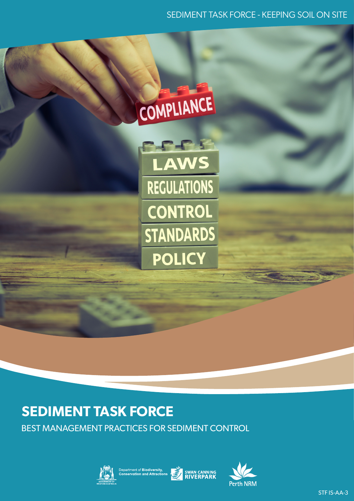### SEDIMENT TASK FORCE - KEEPING SOIL ON SITE

# COMPLIANCE

**RACE REGULATIONS CONTROL STANDARDS POLICY** 

# **SEDIMENT TASK FORCE**

BEST MANAGEMENT PRACTICES FOR SEDIMENT CONTROL





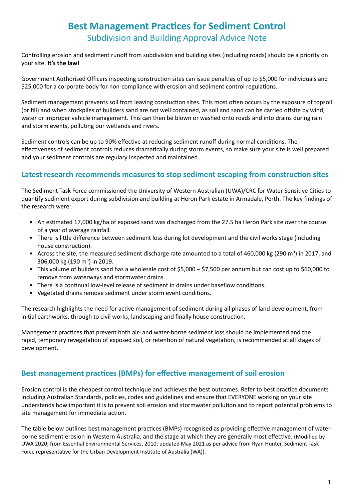# **Best Management Practices for Sediment Control** Subdivision and Building Approval Advice Note

Controlling erosion and sediment runoff from subdivision and building sites (including roads) should be a priority on your site. **It's the law!** 

Government Authorised Officers inspecting construction sites can issue penalties of up to \$5,000 for individuals and \$25,000 for a corporate body for non-compliance with erosion and sediment control regulations.

Sediment management prevents soil from leaving constuction sites. This most often occurs by the exposure of topsoil (or fill) and when stockpiles of builders sand are not well contained, as soil and sand can be carried offsite by wind, water or improper vehicle management. This can then be blown or washed onto roads and into drains during rain and storm events, polluting our wetlands and rivers.

Sediment controls can be up to 90% effective at reducing sediment runoff during normal conditions. The effectiveness of sediment controls reduces dramatically during storm events, so make sure your site is well prepared and your sediment controls are regulary inspected and maintained.

#### **Latest research recommends measures to stop sediment escaping from construction sites**

The Sediment Task Force commissioned the University of Western Australian (UWA)/CRC for Water Sensitive Cities to quantify sediment export during subdivision and building at Heron Park estate in Armadale, Perth. The key findings of the research were:

- An estimated 17,000 kg/ha of exposed sand was discharged from the 27.5 ha Heron Park site over the course of a year of average rainfall.
- There is little difference between sediment loss during lot development and the civil works stage (including house construction).
- Across the site, the measured sediment discharge rate amounted to a total of 460,000 kg (290 m<sup>3</sup>) in 2017, and 306,000 kg (190 m<sup>3</sup>) in 2019.
- This volume of builders sand has a wholesale cost of \$5,000 \$7,500 per annum but can cost up to \$60,000 to remove from waterways and stormwater drains.
- There is a continual low-level release of sediment in drains under baseflow conditions.
- Vegetated drains remove sediment under storm event conditions.

The research highlights the need for active management of sediment during all phases of land development, from initial earthworks, through to civil works, landscaping and finally house construction.

Management practices that prevent both air- and water-borne sediment loss should be implemented and the rapid, temporary revegetation of exposed soil, or retention of natural vegetation, is recommended at all stages of development.

#### **Best management practices (BMPs) for effective management of soil erosion**

Erosion control is the cheapest control technique and achieves the best outcomes. Refer to best practice documents including Australian Standards, policies, codes and guidelines and ensure that EVERYONE working on your site understands how important it is to prevent soil erosion and stormwater pollution and to report potential problems to site management for immediate action.

The table below outlines best management practices (BMPs) recognised as providing effective management of waterborne sediment erosion in Western Australia, and the stage at which they are generally most effective. (Modified by UWA 2020; from Essential Environmental Services, 2010; updated May 2021 as per advice from Ryan Hunter, Sediment Task Force representative for the Urban Development Institute of Australia (WA)).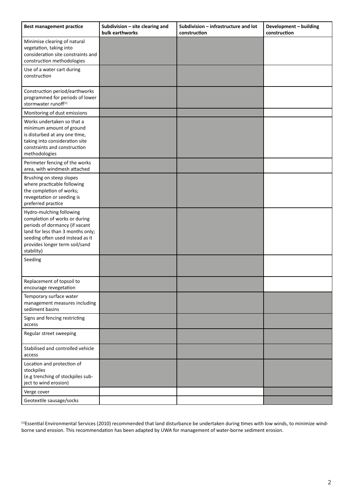| <b>Best management practice</b>                                                                                                                                                                                      | Subdivision - site clearing and<br>bulk earthworks | Subdivision - infrastructure and lot<br>construction | Development - building<br>construction |
|----------------------------------------------------------------------------------------------------------------------------------------------------------------------------------------------------------------------|----------------------------------------------------|------------------------------------------------------|----------------------------------------|
| Minimise clearing of natural<br>vegetation, taking into<br>consideration site constraints and<br>construction methodologies                                                                                          |                                                    |                                                      |                                        |
| Use of a water cart during<br>construction                                                                                                                                                                           |                                                    |                                                      |                                        |
| Construction period/earthworks<br>programmed for periods of lower<br>stormwater runoff <sup>[1]</sup>                                                                                                                |                                                    |                                                      |                                        |
| Monitoring of dust emissions                                                                                                                                                                                         |                                                    |                                                      |                                        |
| Works undertaken so that a<br>minimum amount of ground<br>is disturbed at any one time,<br>taking into consideration site<br>constraints and construction<br>methodologies                                           |                                                    |                                                      |                                        |
| Perimeter fencing of the works<br>area, with windmesh attached                                                                                                                                                       |                                                    |                                                      |                                        |
| Brushing on steep slopes<br>where practicable following<br>the completion of works;<br>revegetation or seeding is<br>preferred practice                                                                              |                                                    |                                                      |                                        |
| Hydro-mulching following<br>completion of works or during<br>periods of dormancy (if vacant<br>land for less than 3 months only;<br>seeding often used instead as it<br>provides longer term soil/sand<br>stability) |                                                    |                                                      |                                        |
| Seeding                                                                                                                                                                                                              |                                                    |                                                      |                                        |
| Replacement of topsoil to<br>encourage revegetation                                                                                                                                                                  |                                                    |                                                      |                                        |
| Temporary surface water<br>management measures including<br>sediment basins                                                                                                                                          |                                                    |                                                      |                                        |
| Signs and fencing restricting<br>access                                                                                                                                                                              |                                                    |                                                      |                                        |
| Regular street sweeping                                                                                                                                                                                              |                                                    |                                                      |                                        |
| Stabilised and controlled vehicle<br>access                                                                                                                                                                          |                                                    |                                                      |                                        |
| Location and protection of<br>stockpiles<br>(e.g trenching of stockpiles sub-<br>ject to wind erosion)                                                                                                               |                                                    |                                                      |                                        |
| Verge cover                                                                                                                                                                                                          |                                                    |                                                      |                                        |
| Geotextile sausage/socks                                                                                                                                                                                             |                                                    |                                                      |                                        |

<sup>[1]</sup>Essential Environmental Services (2010) recommended that land disturbance be undertaken during times with low winds, to minimize windborne sand erosion. This recommendation has been adapted by UWA for management of water-borne sediment erosion.